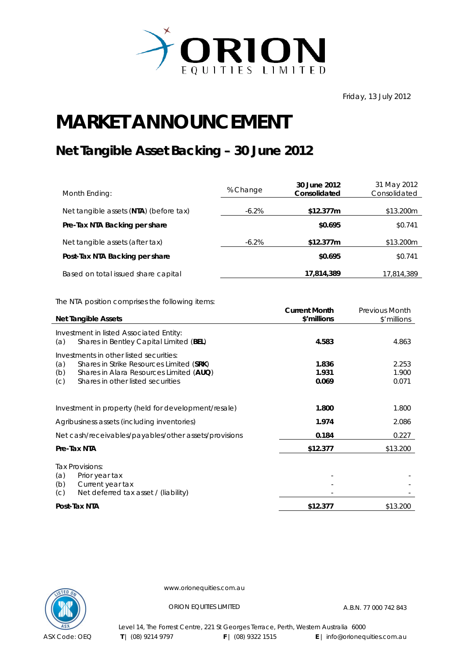

Friday, 13 July 2012

## **MARKET ANNOUNCEMENT**

## **Net Tangible Asset Backing – 30 June 2012**

| Month Ending:                          | % Change | 30 June 2012<br>Consolidated | 31 May 2012<br>Consolidated |
|----------------------------------------|----------|------------------------------|-----------------------------|
| Net tangible assets (NTA) (before tax) | $-6.2\%$ | \$12.377m                    | \$13.200m                   |
| Pre-Tax NTA Backing per share          |          | \$0.695                      | \$0.741                     |
| Net tangible assets (after tax)        | $-6.2\%$ | \$12.377m                    | \$13.200m                   |
| Post-Tax NTA Backing per share         |          | \$0.695                      | \$0.741                     |
| Based on total issued share capital    |          | 17,814,389                   | 17,814,389                  |

The NTA position comprises the following items:

|     | <b>Net Tangible Assets</b>                            | <b>Current Month</b><br>\$'millions | <b>Previous Month</b><br>\$'millions |
|-----|-------------------------------------------------------|-------------------------------------|--------------------------------------|
|     | Investment in listed Associated Entity:               |                                     |                                      |
| (a) | Shares in Bentley Capital Limited (BEL)               | 4.583                               | 4.863                                |
|     | Investments in other listed securities:               |                                     |                                      |
| (a) | Shares in Strike Resources Limited (SRK)              | 1.836                               | 2.253                                |
| (b) | Shares in Alara Resources Limited (AUQ)               | 1.931                               | 1.900                                |
| (C) | Shares in other listed securities                     | 0.069                               | 0.071                                |
|     |                                                       |                                     |                                      |
|     | Investment in property (held for development/resale)  | 1.800                               | 1.800                                |
|     | Agribusiness assets (including inventories)           | 1.974                               | 2.086                                |
|     | Net cash/receivables/payables/other assets/provisions | 0.184                               | 0.227                                |
|     | Pre-Tax NTA                                           | \$12.377                            | \$13.200                             |
|     | Tax Provisions:                                       |                                     |                                      |
| (a) | Prior year tax                                        |                                     |                                      |
| (b) | Current year tax                                      |                                     |                                      |
| (C) | Net deferred tax asset / (liability)                  |                                     |                                      |
|     | Post-Tax NTA                                          | \$12.377                            | \$13.200                             |



www.orionequities.com.au

ORION EQUITIES LIMITED A.B.N. 77 000 742 843

Level 14, The Forrest Centre, 221 St Georges Terrace, Perth, Western Australia 6000  **T** | (08) 9214 9797 **F** | (08) 9322 1515 **E** | info@orionequities.com.au